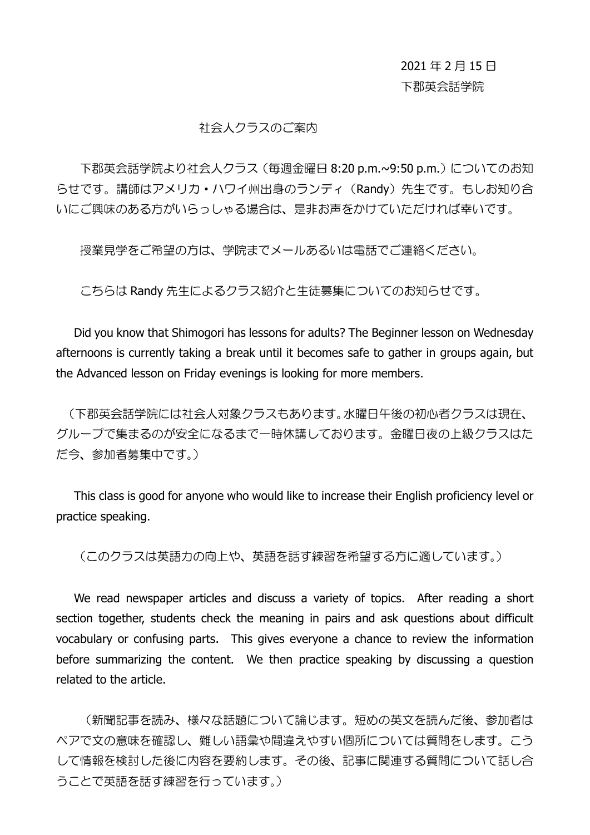## 2021 年 2 月 15 日 下郡英会話学院

## 社会人クラスのご案内

下郡英会話学院より社会人クラス (毎週金曜日 8:20 p.m.~9:50 p.m.) についてのお知 らせです。講師はアメリカ・ハワイ州出身のランディ(Randy)先生です。もしお知り合 いにご興味のある方がいらっしゃる場合は、是非お声をかけていただければ幸いです。

授業見学をご希望の方は、学院までメールあるいは電話でご連絡ください。

こちらは Randy 先生によるクラス紹介と生徒募集についてのお知らせです。

Did you know that Shimogori has lessons for adults? The Beginner lesson on Wednesday afternoons is currently taking a break until it becomes safe to gather in groups again, but the Advanced lesson on Friday evenings is looking for more members.

(下郡英会話学院には社会人対象クラスもあります。水曜日午後の初心者クラスは現在、 グループで集まるのが安全になるまで一時休講しております。金曜日夜の上級クラスはた だ今、参加者募集中です。)

This class is good for anyone who would like to increase their English proficiency level or practice speaking.

(このクラスは英語力の向上や、英語を話す練習を希望する方に適しています。)

We read newspaper articles and discuss a variety of topics. After reading a short section together, students check the meaning in pairs and ask questions about difficult vocabulary or confusing parts. This gives everyone a chance to review the information before summarizing the content. We then practice speaking by discussing a question related to the article.

(新聞記事を読み、様々な話題について論じます。短めの英文を読んだ後、参加者は ペアで文の意味を確認し、難しい語彙や間違えやすい個所については質問をします。こう して情報を検討した後に内容を要約します。その後、記事に関連する質問について話し合 うことで英語を話す練習を行っています。)